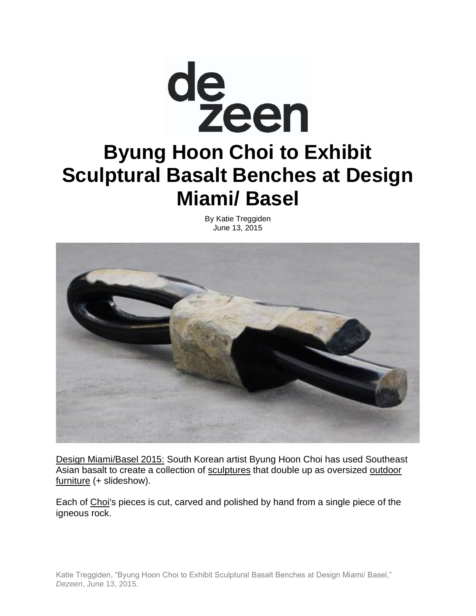

By Katie Treggiden June 13, 2015



[Design Miami/Basel 2015:](http://www.dezeen.com/events/2015/design-miami-basel-2015/) South Korean artist Byung Hoon Choi has used Southeast Asian basalt to create a collection of [sculptures](http://www.dezeen.com/tag/sculptures/) that double up as oversized outdoor [furniture](http://www.dezeen.com/tag/outdoor-furniture) (+ slideshow).

Each of [Choi'](http://choibyunghoon.com/)s pieces is cut, carved and polished by hand from a single piece of the igneous rock.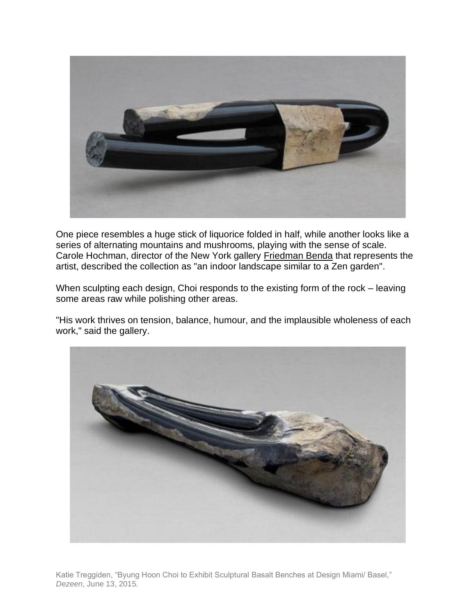

One piece resembles a huge stick of liquorice folded in half, while another looks like a series of alternating mountains and mushrooms, playing with the sense of scale. Carole Hochman, director of the New York gallery [Friedman Benda](http://www.dezeen.com/tag/friedman-benda/) that represents the artist, described the collection as "an indoor landscape similar to a Zen garden".

When sculpting each design, Choi responds to the existing form of the rock – leaving some areas raw while polishing other areas.

"His work thrives on tension, balance, humour, and the implausible wholeness of each work," said the gallery.



Katie Treggiden, "Byung Hoon Choi to Exhibit Sculptural Basalt Benches at Design Miami/ Basel," *Dezeen*, June 13, 2015.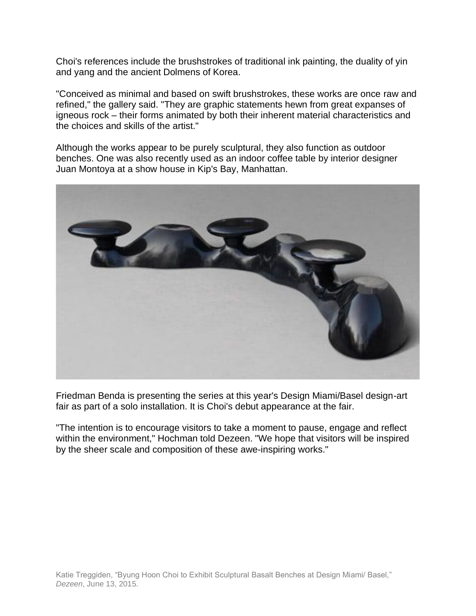Choi's references include the brushstrokes of traditional ink painting, the duality of yin and yang and the ancient Dolmens of Korea.

"Conceived as minimal and based on swift brushstrokes, these works are once raw and refined," the gallery said. "They are graphic statements hewn from great expanses of igneous rock – their forms animated by both their inherent material characteristics and the choices and skills of the artist."

Although the works appear to be purely sculptural, they also function as outdoor benches. One was also recently used as an indoor coffee table by interior designer Juan Montoya at a show house in Kip's Bay, Manhattan.



Friedman Benda is presenting the series at this year's Design Miami/Basel design-art fair as part of a solo installation. It is Choi's debut appearance at the fair.

"The intention is to encourage visitors to take a moment to pause, engage and reflect within the environment," Hochman told Dezeen. "We hope that visitors will be inspired by the sheer scale and composition of these awe-inspiring works."